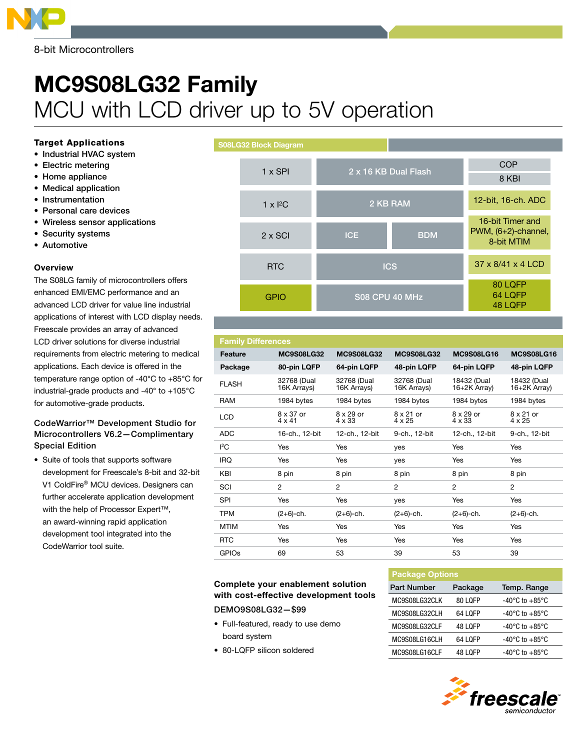

8-bit Microcontrollers

# MC9S08LG32 Family MCU with LCD driver up to 5V operation

#### Target Applications

- Industrial HVAC system
- • Electric metering
- Home appliance
- • Medical application
- Instrumentation
- • Personal care devices
- • Wireless sensor applications
- Security systems
- • Automotive

#### **Overview**

The S08LG family of microcontrollers offers enhanced EMI/EMC performance and an advanced LCD driver for value line industrial applications of interest with LCD display needs. Freescale provides an array of advanced LCD driver solutions for diverse industrial requirements from electric metering to medical applications. Each device is offered in the temperature range option of -40°C to +85°C for industrial-grade products and -40° to +105°C for automotive-grade products.

### CodeWarrior™ Development Studio for Microcontrollers V6.2—Complimentary Special Edition

• Suite of tools that supports software development for Freescale's 8-bit and 32-bit V1 ColdFire® MCU devices. Designers can further accelerate application development with the help of Processor Expert™, an award-winning rapid application development tool integrated into the CodeWarrior tool suite.

S08LG32 Block Diagram



# **Family Difference**

| <b>Feature</b>          | <b>MC9S08LG32</b>          | <b>MC9S08LG32</b>          | <b>MC9S08LG32</b>          | <b>MC9S08LG16</b>           | <b>MC9S08LG16</b>           |
|-------------------------|----------------------------|----------------------------|----------------------------|-----------------------------|-----------------------------|
| Package                 | 80-pin LQFP                | 64-pin LQFP                | 48-pin LQFP                | 64-pin LQFP                 | 48-pin LQFP                 |
| <b>FLASH</b>            | 32768 (Dual<br>16K Arrays) | 32768 (Dual<br>16K Arrays) | 32768 (Dual<br>16K Arrays) | 18432 (Dual<br>16+2K Array) | 18432 (Dual<br>16+2K Array) |
| <b>RAM</b>              | 1984 bytes                 | 1984 bytes                 | 1984 bytes                 | 1984 bytes                  | 1984 bytes                  |
| <b>LCD</b>              | 8 x 37 or<br>$4 \times 41$ | $8 \times 29$ or<br>4 x 33 | $8 \times 21$ or<br>4 x 25 | 8 x 29 or<br>4 x 33         | $8 \times 21$ or<br>4 x 25  |
| <b>ADC</b>              | 16-ch., 12-bit             | 12-ch., 12-bit             | 9-ch., 12-bit              | 12-ch., 12-bit              | 9-ch., 12-bit               |
| ${}^{12}C$              | Yes                        | Yes                        | yes                        | Yes                         | Yes                         |
| <b>IRQ</b>              | Yes                        | Yes                        | yes                        | Yes                         | Yes                         |
| <b>KBI</b>              | 8 pin                      | 8 pin                      | 8 pin                      | 8 pin                       | 8 pin                       |
| SCI                     | $\overline{2}$             | $\overline{2}$             | $\overline{2}$             | 2                           | $\overline{2}$              |
| <b>SPI</b>              | Yes                        | Yes                        | yes                        | Yes                         | Yes                         |
| <b>TPM</b>              | $(2+6)$ -ch.               | $(2+6)$ -ch.               | $(2+6)$ -ch.               | $(2+6)$ -ch.                | $(2+6)$ -ch.                |
| <b>MTIM</b>             | Yes                        | Yes                        | Yes                        | Yes                         | Yes                         |
| <b>RTC</b>              | Yes                        | Yes                        | Yes                        | <b>Yes</b>                  | Yes                         |
| <b>GPIO<sub>s</sub></b> | 69                         | 53                         | 39                         | 53                          | 39                          |
|                         |                            |                            |                            |                             |                             |

## Complete your enablement solution with cost-effective development tools DEMO9S08LG32—\$99

- • Full-featured, ready to use demo
- board system
- 80-LQFP silicon soldered

| <b>Package Options</b> |                |                                    |  |  |  |  |  |  |
|------------------------|----------------|------------------------------------|--|--|--|--|--|--|
| Part Number            | Package        | Temp. Range                        |  |  |  |  |  |  |
| MC9S08LG32CLK          | 80 LOFP        | $-40^{\circ}$ C to $+85^{\circ}$ C |  |  |  |  |  |  |
| MC9S08LG32CLH          | 64 LOFP        | $-40^{\circ}$ C to $+85^{\circ}$ C |  |  |  |  |  |  |
| MC9S08LG32CLF          | <b>48 LOFP</b> | -40°C to +85°C                     |  |  |  |  |  |  |
| MC9S08LG16CLH          | 64 LOFP        | $-40^{\circ}$ C to $+85^{\circ}$ C |  |  |  |  |  |  |
| MC9S08LG16CLF          | 48 LOFP        | $-40^{\circ}$ C to $+85^{\circ}$ C |  |  |  |  |  |  |